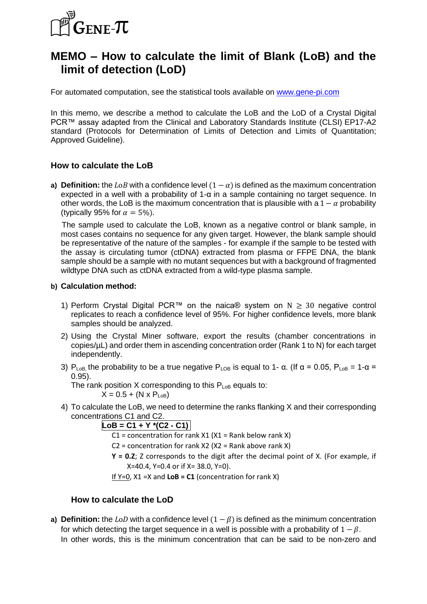

# **MEMO – How to calculate the limit of Blank (LoB) and the limit of detection (LoD)**

For automated computation, see the statistical tools available on www.gene-pi.com

In this memo, we describe a method to calculate the LoB and the LoD of a Crystal Digital PCR™ assay adapted from the Clinical and Laboratory Standards Institute (CLSI) EP17-A2 standard (Protocols for Determination of Limits of Detection and Limits of Quantitation; Approved Guideline).

### **How to calculate the LoB**

**a) Definition:** the LoB with a confidence level  $(1 - \alpha)$  is defined as the maximum concentration expected in a well with a probability of 1-α in a sample containing no target sequence. In other words, the LoB is the maximum concentration that is plausible with a  $1 - \alpha$  probability (typically 95% for  $\alpha = 5\%$ ).

 The sample used to calculate the LoB, known as a negative control or blank sample, in most cases contains no sequence for any given target. However, the blank sample should be representative of the nature of the samples - for example if the sample to be tested with the assay is circulating tumor (ctDNA) extracted from plasma or FFPE DNA, the blank sample should be a sample with no mutant sequences but with a background of fragmented wildtype DNA such as ctDNA extracted from a wild-type plasma sample.

#### **b) Calculation method:**

- 1) Perform Crystal Digital PCR<sup>™</sup> on the naica® system on  $N \geq 30$  negative control replicates to reach a confidence level of 95%. For higher confidence levels, more blank samples should be analyzed.
- 2) Using the Crystal Miner software, export the results (chamber concentrations in copies/µL) and order them in ascending concentration order (Rank 1 to N) for each target independently.
- 3)  $P_{\text{LoB}}$  the probability to be a true negative  $P_{\text{LoB}}$  is equal to 1- α. (If  $\alpha = 0.05$ ,  $P_{\text{LoB}} = 1$ -α = 0.95).

The rank position X corresponding to this  $P_{\text{LoB}}$  equals to:

 $X = 0.5 + (N \times P_{\text{LoB}})$ 

4) To calculate the LoB, we need to determine the ranks flanking X and their corresponding concentrations C1 and C2.

 $|$ **LoB** = **C1** + **Y**  $*(C2 - C1)$ 

 $C1$  = concentration for rank X1 (X1 = Rank below rank X)

 $C2$  = concentration for rank X2 (X2 = Rank above rank X)

**Y = 0.Z**; Z corresponds to the digit after the decimal point of X. (For example, if X=40.4, Y=0.4 or if X= 38.0, Y=0).

If  $Y=0$ ,  $X1 = X$  and  $LoB = C1$  (concentration for rank X)

### **How to calculate the LoD**

**a) Definition:** the LoD with a confidence level  $(1 - \beta)$  is defined as the minimum concentration for which detecting the target sequence in a well is possible with a probability of  $1 - \beta$ . In other words, this is the minimum concentration that can be said to be non-zero and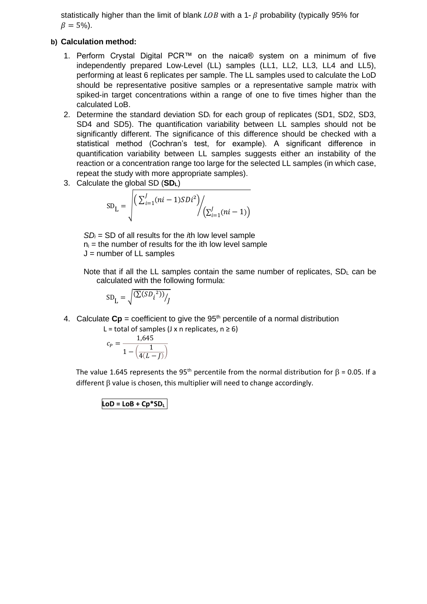statistically higher than the limit of blank  $\text{LOB}$  with a 1-  $\beta$  probability (typically 95% for  $\beta = 5\%$ ).

#### **b) Calculation method:**

- 1. Perform Crystal Digital PCR™ on the naica® system on a minimum of five independently prepared Low-Level (LL) samples (LL1, LL2, LL3, LL4 and LL5), performing at least 6 replicates per sample. The LL samples used to calculate the LoD should be representative positive samples or a representative sample matrix with spiked-in target concentrations within a range of one to five times higher than the calculated LoB.
- 2. Determine the standard deviation SD<sub>i</sub> for each group of replicates (SD1, SD2, SD3, SD4 and SD5). The quantification variability between LL samples should not be significantly different. The significance of this difference should be checked with a statistical method (Cochran's test, for example). A significant difference in quantification variability between LL samples suggests either an instability of the reaction or a concentration range too large for the selected LL samples (in which case, repeat the study with more appropriate samples).
- 3. Calculate the global SD (**SDL**)

$$
SD_{L} = \sqrt{\left(\sum_{i=1}^{J} (ni-1)SDi^{2}\right) / \left(\sum_{i=1}^{J} (ni-1)\right)}
$$

*SD<sup>i</sup>* = SD of all results for the *i*th low level sample  $n_i$  = the number of results for the ith low level sample  $J =$  number of LL samples

Note that if all the LL samples contain the same number of replicates,  $SD<sub>L</sub>$  can be calculated with the following formula:

$$
SD_{L} = \sqrt{\frac{(\Sigma(SD_i{}^2))}{J}}
$$

4. Calculate  $\mathbf{Cp}$  = coefficient to give the 95<sup>th</sup> percentile of a normal distribution

L = total of samples (J x n replicates,  $n \ge 6$ )

$$
c_P = \frac{1,645}{1 - \left(\frac{1}{4(L - J)}\right)}
$$

The value 1.645 represents the 95<sup>th</sup> percentile from the normal distribution for  $\beta$  = 0.05. If a different  $\beta$  value is chosen, this multiplier will need to change accordingly.

 $\text{LoD} = \text{LoB} + \text{Cp*SD}$